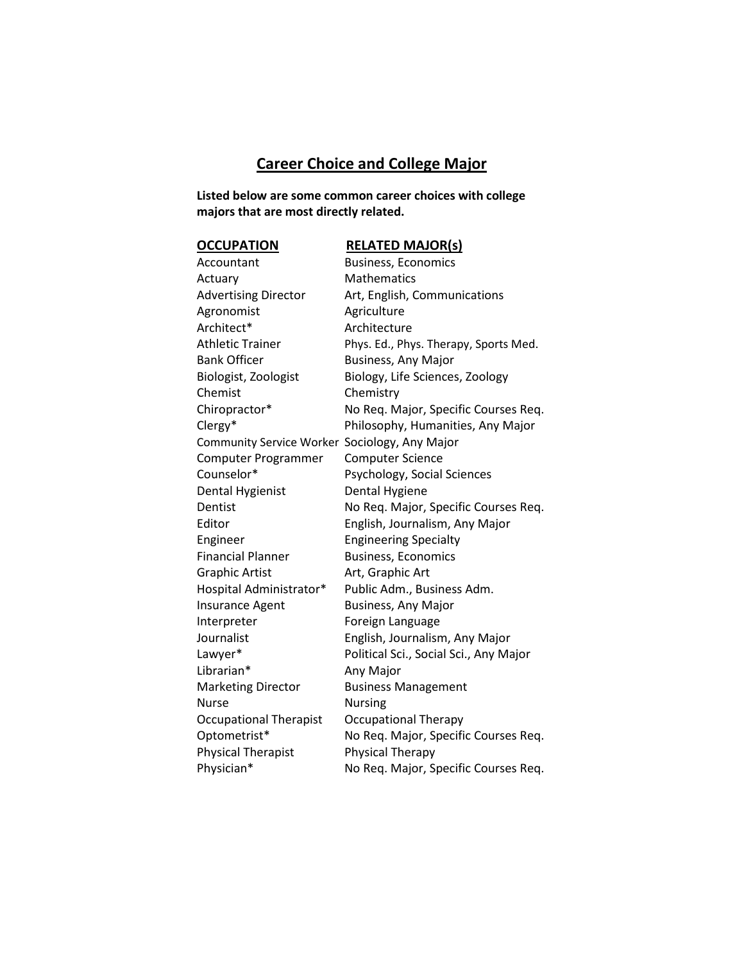# **Career Choice and College Major**

**Listed below are some common career choices with college majors that are most directly related.**

## **OCCUPATION RELATED MAJOR(s)**

| Accountant                                    | <b>Business, Economics</b>             |
|-----------------------------------------------|----------------------------------------|
| Actuary                                       | Mathematics                            |
| <b>Advertising Director</b>                   | Art, English, Communications           |
| Agronomist                                    | Agriculture                            |
| Architect*                                    | Architecture                           |
| <b>Athletic Trainer</b>                       | Phys. Ed., Phys. Therapy, Sports Med.  |
| <b>Bank Officer</b>                           | <b>Business, Any Major</b>             |
| Biologist, Zoologist                          | Biology, Life Sciences, Zoology        |
| Chemist                                       | Chemistry                              |
| Chiropractor*                                 | No Req. Major, Specific Courses Req.   |
| Clergy*                                       | Philosophy, Humanities, Any Major      |
| Community Service Worker Sociology, Any Major |                                        |
| Computer Programmer                           | <b>Computer Science</b>                |
| Counselor*                                    | Psychology, Social Sciences            |
| Dental Hygienist                              | Dental Hygiene                         |
| Dentist                                       | No Req. Major, Specific Courses Req.   |
| Editor                                        | English, Journalism, Any Major         |
| Engineer                                      | <b>Engineering Specialty</b>           |
| <b>Financial Planner</b>                      | <b>Business, Economics</b>             |
| <b>Graphic Artist</b>                         | Art, Graphic Art                       |
| Hospital Administrator*                       | Public Adm., Business Adm.             |
| Insurance Agent                               | <b>Business, Any Major</b>             |
| Interpreter                                   | Foreign Language                       |
| Journalist                                    | English, Journalism, Any Major         |
| Lawyer*                                       | Political Sci., Social Sci., Any Major |
| Librarian*                                    | Any Major                              |
| <b>Marketing Director</b>                     | <b>Business Management</b>             |
| <b>Nurse</b>                                  | <b>Nursing</b>                         |
| <b>Occupational Therapist</b>                 | <b>Occupational Therapy</b>            |
| Optometrist*                                  | No Req. Major, Specific Courses Req.   |
| <b>Physical Therapist</b>                     | Physical Therapy                       |
| Physician*                                    | No Req. Major, Specific Courses Req.   |